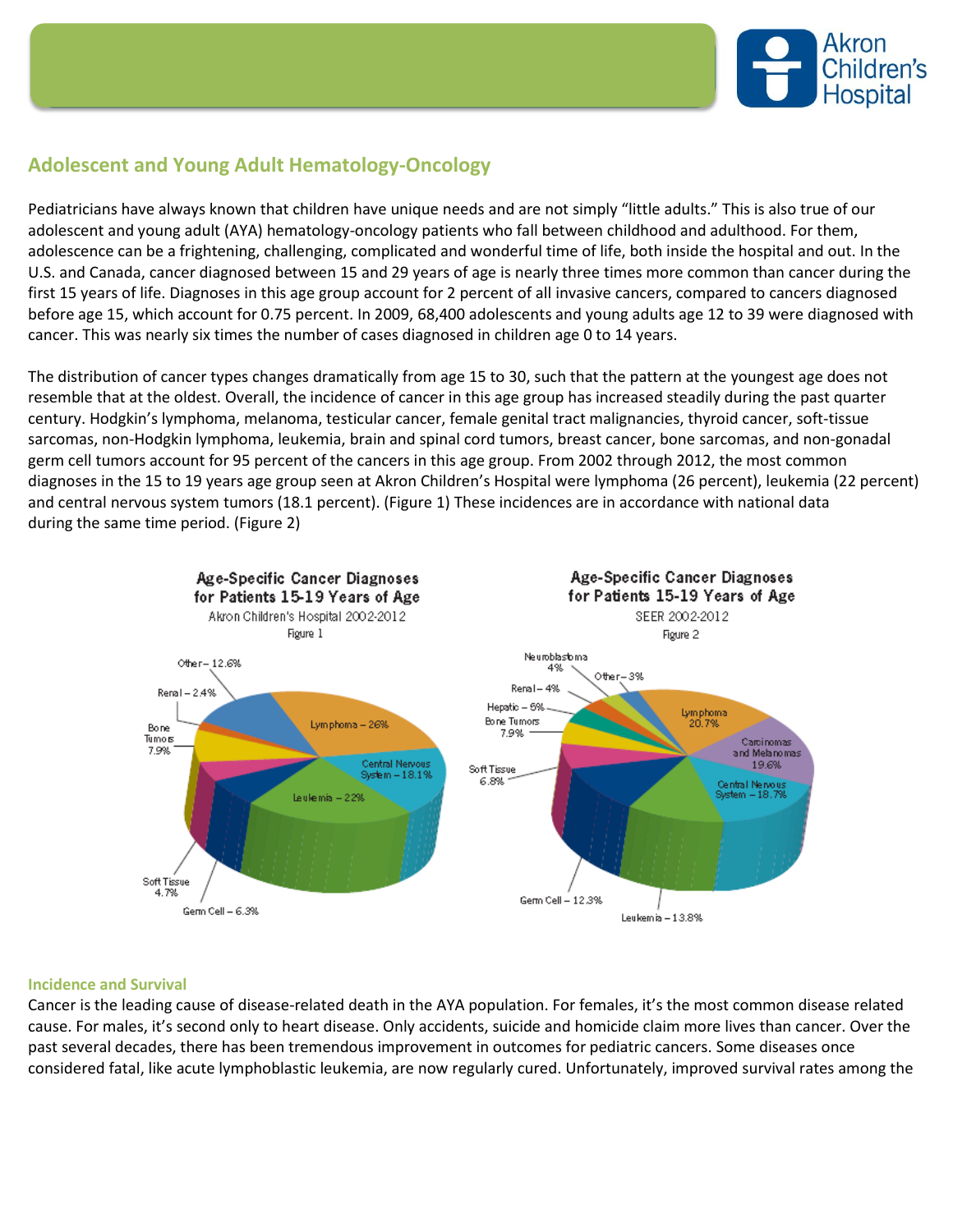

## **Adolescent and Young Adult Hematology-Oncology**

Pediatricians have always known that children have unique needs and are not simply "little adults." This is also true of our adolescent and young adult (AYA) hematology-oncology patients who fall between childhood and adulthood. For them, adolescence can be a frightening, challenging, complicated and wonderful time of life, both inside the hospital and out. In the U.S. and Canada, cancer diagnosed between 15 and 29 years of age is nearly three times more common than cancer during the first 15 years of life. Diagnoses in this age group account for 2 percent of all invasive cancers, compared to cancers diagnosed before age 15, which account for 0.75 percent. In 2009, 68,400 adolescents and young adults age 12 to 39 were diagnosed with cancer. This was nearly six times the number of cases diagnosed in children age 0 to 14 years.

The distribution of cancer types changes dramatically from age 15 to 30, such that the pattern at the youngest age does not resemble that at the oldest. Overall, the incidence of cancer in this age group has increased steadily during the past quarter century. Hodgkin's lymphoma, melanoma, testicular cancer, female genital tract malignancies, thyroid cancer, soft-tissue sarcomas, non-Hodgkin lymphoma, leukemia, brain and spinal cord tumors, breast cancer, bone sarcomas, and non-gonadal germ cell tumors account for 95 percent of the cancers in this age group. From 2002 through 2012, the most common diagnoses in the 15 to 19 years age group seen at Akron Children's Hospital were lymphoma (26 percent), leukemia (22 percent) and central nervous system tumors (18.1 percent). (Figure 1) These incidences are in accordance with national data during the same time period. (Figure 2)



## **Incidence and Survival**

Cancer is the leading cause of disease-related death in the AYA population. For females, it's the most common disease related cause. For males, it's second only to heart disease. Only accidents, suicide and homicide claim more lives than cancer. Over the past several decades, there has been tremendous improvement in outcomes for pediatric cancers. Some diseases once considered fatal, like acute lymphoblastic leukemia, are now regularly cured. Unfortunately, improved survival rates among the